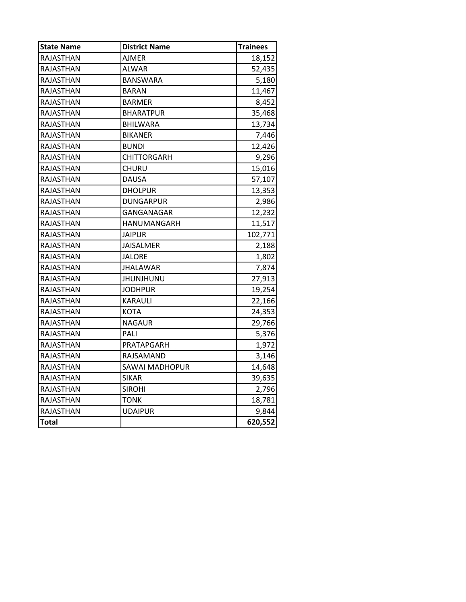| <b>State Name</b> | <b>District Name</b>  | <b>Trainees</b> |
|-------------------|-----------------------|-----------------|
| RAJASTHAN         | AJMER                 | 18,152          |
| RAJASTHAN         | <b>ALWAR</b>          | 52,435          |
| RAJASTHAN         | <b>BANSWARA</b>       | 5,180           |
| RAJASTHAN         | <b>BARAN</b>          | 11,467          |
| RAJASTHAN         | <b>BARMER</b>         | 8,452           |
| RAJASTHAN         | <b>BHARATPUR</b>      | 35,468          |
| RAJASTHAN         | <b>BHILWARA</b>       | 13,734          |
| RAJASTHAN         | <b>BIKANER</b>        | 7,446           |
| RAJASTHAN         | <b>BUNDI</b>          | 12,426          |
| RAJASTHAN         | <b>CHITTORGARH</b>    | 9,296           |
| RAJASTHAN         | CHURU                 | 15,016          |
| RAJASTHAN         | <b>DAUSA</b>          | 57,107          |
| RAJASTHAN         | <b>DHOLPUR</b>        | 13,353          |
| RAJASTHAN         | <b>DUNGARPUR</b>      | 2,986           |
| RAJASTHAN         | GANGANAGAR            | 12,232          |
| RAJASTHAN         | HANUMANGARH           | 11,517          |
| RAJASTHAN         | JAIPUR                | 102,771         |
| RAJASTHAN         | <b>JAISALMER</b>      | 2,188           |
| RAJASTHAN         | <b>JALORE</b>         | 1,802           |
| RAJASTHAN         | <b>JHALAWAR</b>       | 7,874           |
| RAJASTHAN         | JHUNJHUNU             | 27,913          |
| RAJASTHAN         | <b>JODHPUR</b>        | 19,254          |
| RAJASTHAN         | <b>KARAULI</b>        | 22,166          |
| RAJASTHAN         | <b>KOTA</b>           | 24,353          |
| RAJASTHAN         | <b>NAGAUR</b>         | 29,766          |
| RAJASTHAN         | PALI                  | 5,376           |
| RAJASTHAN         | PRATAPGARH            | 1,972           |
| RAJASTHAN         | RAJSAMAND             | 3,146           |
| RAJASTHAN         | <b>SAWAI MADHOPUR</b> | 14,648          |
| <b>RAJASTHAN</b>  | <b>SIKAR</b>          | 39,635          |
| <b>RAJASTHAN</b>  | <b>SIROHI</b>         | 2,796           |
| RAJASTHAN         | <b>TONK</b>           | 18,781          |
| RAJASTHAN         | <b>UDAIPUR</b>        | 9,844           |
| <b>Total</b>      |                       | 620,552         |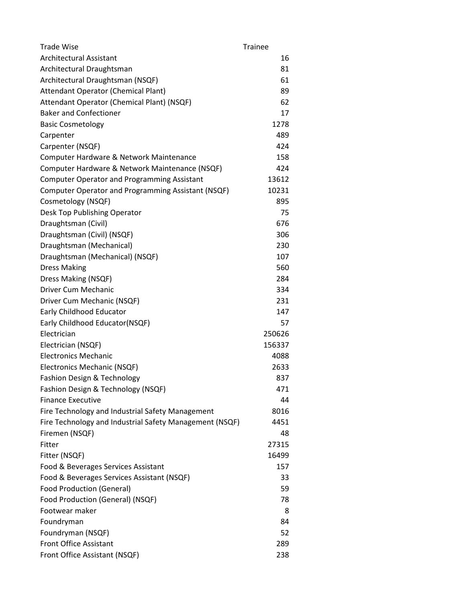| <b>Trade Wise</b>                                       | <b>Trainee</b> |
|---------------------------------------------------------|----------------|
| Architectural Assistant                                 | 16             |
| Architectural Draughtsman                               | 81             |
| Architectural Draughtsman (NSQF)                        | 61             |
| <b>Attendant Operator (Chemical Plant)</b>              | 89             |
| Attendant Operator (Chemical Plant) (NSQF)              | 62             |
| <b>Baker and Confectioner</b>                           | 17             |
| <b>Basic Cosmetology</b>                                | 1278           |
| Carpenter                                               | 489            |
| Carpenter (NSQF)                                        | 424            |
| Computer Hardware & Network Maintenance                 | 158            |
| Computer Hardware & Network Maintenance (NSQF)          | 424            |
| <b>Computer Operator and Programming Assistant</b>      | 13612          |
| Computer Operator and Programming Assistant (NSQF)      | 10231          |
| Cosmetology (NSQF)                                      | 895            |
| Desk Top Publishing Operator                            | 75             |
| Draughtsman (Civil)                                     | 676            |
| Draughtsman (Civil) (NSQF)                              | 306            |
| Draughtsman (Mechanical)                                | 230            |
| Draughtsman (Mechanical) (NSQF)                         | 107            |
| <b>Dress Making</b>                                     | 560            |
| Dress Making (NSQF)                                     | 284            |
| Driver Cum Mechanic                                     | 334            |
| Driver Cum Mechanic (NSQF)                              | 231            |
| Early Childhood Educator                                | 147            |
| Early Childhood Educator(NSQF)                          | 57             |
| Electrician                                             | 250626         |
| Electrician (NSQF)                                      | 156337         |
| <b>Electronics Mechanic</b>                             | 4088           |
| Electronics Mechanic (NSQF)                             | 2633           |
| Fashion Design & Technology                             | 837            |
| Fashion Design & Technology (NSQF)                      | 471            |
| <b>Finance Executive</b>                                | 44             |
| Fire Technology and Industrial Safety Management        | 8016           |
| Fire Technology and Industrial Safety Management (NSQF) | 4451           |
| Firemen (NSQF)                                          | 48             |
| Fitter                                                  | 27315          |
| Fitter (NSQF)                                           | 16499          |
| Food & Beverages Services Assistant                     | 157            |
| Food & Beverages Services Assistant (NSQF)              | 33             |
| <b>Food Production (General)</b>                        | 59             |
| Food Production (General) (NSQF)                        | 78             |
| Footwear maker                                          | 8              |
| Foundryman                                              | 84             |
| Foundryman (NSQF)                                       | 52             |
| <b>Front Office Assistant</b>                           | 289            |
| Front Office Assistant (NSQF)                           | 238            |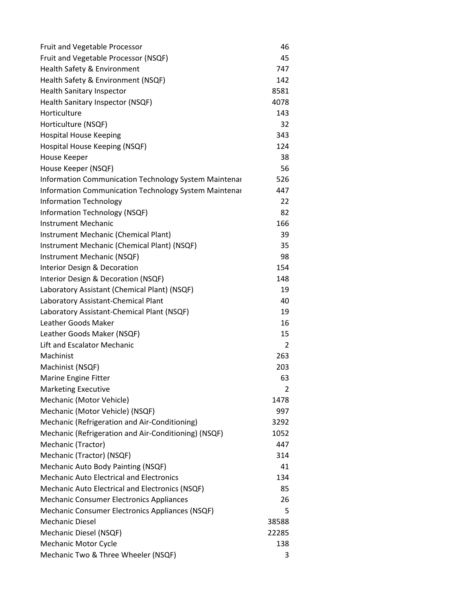| Fruit and Vegetable Processor                          | 46    |
|--------------------------------------------------------|-------|
| Fruit and Vegetable Processor (NSQF)                   | 45    |
| Health Safety & Environment                            | 747   |
| Health Safety & Environment (NSQF)                     | 142   |
| <b>Health Sanitary Inspector</b>                       | 8581  |
| Health Sanitary Inspector (NSQF)                       | 4078  |
| Horticulture                                           | 143   |
| Horticulture (NSQF)                                    | 32    |
| <b>Hospital House Keeping</b>                          | 343   |
| Hospital House Keeping (NSQF)                          | 124   |
| House Keeper                                           | 38    |
| House Keeper (NSQF)                                    | 56    |
| Information Communication Technology System Maintenar  | 526   |
| Information Communication Technology System Maintenar  | 447   |
| <b>Information Technology</b>                          | 22    |
| Information Technology (NSQF)                          | 82    |
| <b>Instrument Mechanic</b>                             | 166   |
| Instrument Mechanic (Chemical Plant)                   | 39    |
| Instrument Mechanic (Chemical Plant) (NSQF)            | 35    |
| Instrument Mechanic (NSQF)                             | 98    |
| Interior Design & Decoration                           | 154   |
| Interior Design & Decoration (NSQF)                    | 148   |
| Laboratory Assistant (Chemical Plant) (NSQF)           | 19    |
| Laboratory Assistant-Chemical Plant                    | 40    |
| Laboratory Assistant-Chemical Plant (NSQF)             | 19    |
| Leather Goods Maker                                    | 16    |
| Leather Goods Maker (NSQF)                             | 15    |
| <b>Lift and Escalator Mechanic</b>                     | 2     |
| Machinist                                              | 263   |
| Machinist (NSQF)                                       | 203   |
| Marine Engine Fitter                                   | 63    |
| <b>Marketing Executive</b>                             | 2     |
| Mechanic (Motor Vehicle)                               | 1478  |
| Mechanic (Motor Vehicle) (NSQF)                        | 997   |
| Mechanic (Refrigeration and Air-Conditioning)          | 3292  |
| Mechanic (Refrigeration and Air-Conditioning) (NSQF)   | 1052  |
| Mechanic (Tractor)                                     | 447   |
| Mechanic (Tractor) (NSQF)                              | 314   |
| Mechanic Auto Body Painting (NSQF)                     | 41    |
| <b>Mechanic Auto Electrical and Electronics</b>        | 134   |
| <b>Mechanic Auto Electrical and Electronics (NSQF)</b> | 85    |
| <b>Mechanic Consumer Electronics Appliances</b>        | 26    |
| Mechanic Consumer Electronics Appliances (NSQF)        | 5     |
| <b>Mechanic Diesel</b>                                 | 38588 |
| Mechanic Diesel (NSQF)                                 | 22285 |
| <b>Mechanic Motor Cycle</b>                            | 138   |
| Mechanic Two & Three Wheeler (NSQF)                    | 3     |